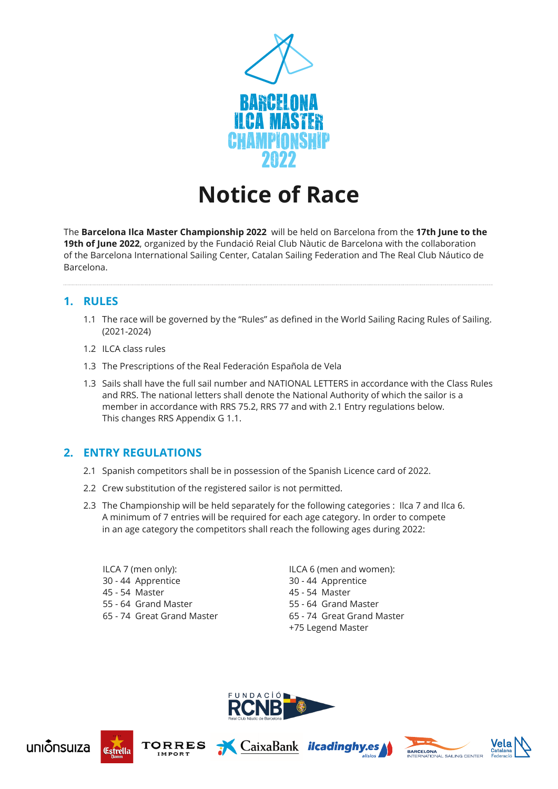

# **Notice of Race**

The **Barcelona Ilca Master Championship 2022** will be held on Barcelona from the **17th June to the 19th of June 2022**, organized by the Fundació Reial Club Nàutic de Barcelona with the collaboration of the Barcelona International Sailing Center, Catalan Sailing Federation and The Real Club Náutico de Barcelona.

# **1. RULES**

- 1.1 The race will be governed by the "Rules" as defined in the World Sailing Racing Rules of Sailing. (2021-2024)
- 1.2 ILCA class rules
- 1.3 The Prescriptions of the Real Federación Española de Vela
- 1.3 Sails shall have the full sail number and NATIONAL LETTERS in accordance with the Class Rules and RRS. The national letters shall denote the National Authority of which the sailor is a member in accordance with RRS 75.2, RRS 77 and with 2.1 Entry regulations below. This changes RRS Appendix G 1.1.

#### **2. ENTRY REGULATIONS**

- 2.1 Spanish competitors shall be in possession of the Spanish Licence card of 2022.
- 2.2 Crew substitution of the registered sailor is not permitted.
- 2.3 The Championship will be held separately for the following categories : Ilca 7 and Ilca 6. A minimum of 7 entries will be required for each age category. In order to compete in an age category the competitors shall reach the following ages during 2022:
	- ILCA 7 (men only): 30 - 44 Apprentice 45 - 54 Master 55 - 64 Grand Master 65 - 74 Great Grand Master

ILCA 6 (men and women): 30 - 44 Apprentice 45 - 54 Master 55 - 64 Grand Master 65 - 74 Great Grand Master +75 Legend Master











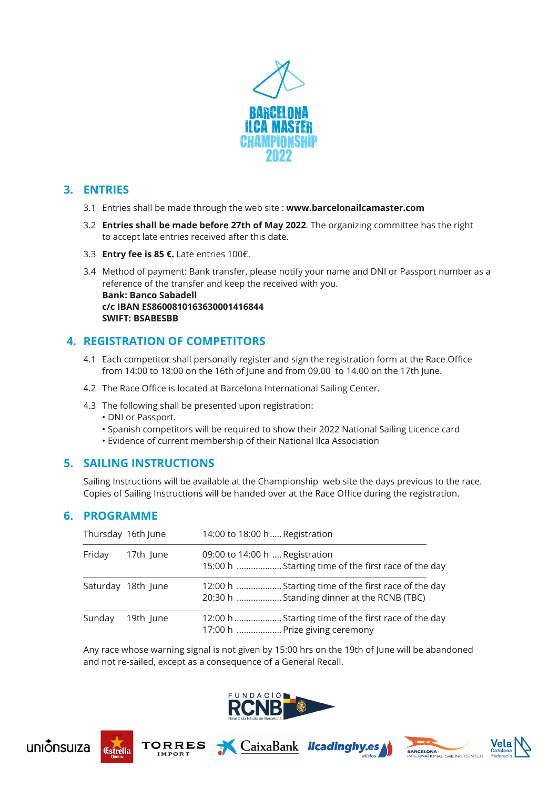

## **3. ENTRIES**

- 3.1 Entries shall be made through the web site : **www.barcelonailcamaster.com**
- 3.2 **Entries shall be made before 27th of May 2022**. The organizing committee has the right to accept late entries received after this date.
- 3.3 **Entry fee is 85 €.** Late entries 100€.
- 3.4 Method of payment: Bank transfer, please notify your name and DNI or Passport number as a reference of the transfer and keep the received with you.

 **Bank: Banco Sabadell c/c IBAN ES8600810163630001416844 SWIFT: BSABESBB**

## **4. REGISTRATION OF COMPETITORS**

- 4.1 Each competitor shall personally register and sign the registration form at the Race Office from 14:00 to 18:00 on the 16th of June and from 09.00 to 14.00 on the 17th June.
- 4.2 The Race Office is located at Barcelona International Sailing Center.
- 4.3 The following shall be presented upon registration:
	- DNI or Passport.
	- Spanish competitors will be required to show their 2022 National Sailing Licence card
	- Evidence of current membership of their National Ilca Association

#### **5. SAILING INSTRUCTIONS**

Sailing Instructions will be available at the Championship web site the days previous to the race. Copies of Sailing Instructions will be handed over at the Race Office during the registration.

#### **6. PROGRAMME**

|        | Thursday 16th June | 14:00 to 18:00 h Registration                                                                     |
|--------|--------------------|---------------------------------------------------------------------------------------------------|
| Friday | 17th June          | 09:00 to 14:00 h  Registration<br>15:00 h  Starting time of the first race of the day             |
|        | Saturday 18th June | 12:00 h  Starting time of the first race of the day<br>20:30 h  Standing dinner at the RCNB (TBC) |
| Sunday | 19th June          | 12:00 h  Starting time of the first race of the day<br>17:00 h  Prize giving ceremony             |

Any race whose warning signal is not given by 15:00 hrs on the 19th of June will be abandoned and not re-sailed, except as a consequence of a General Recall.









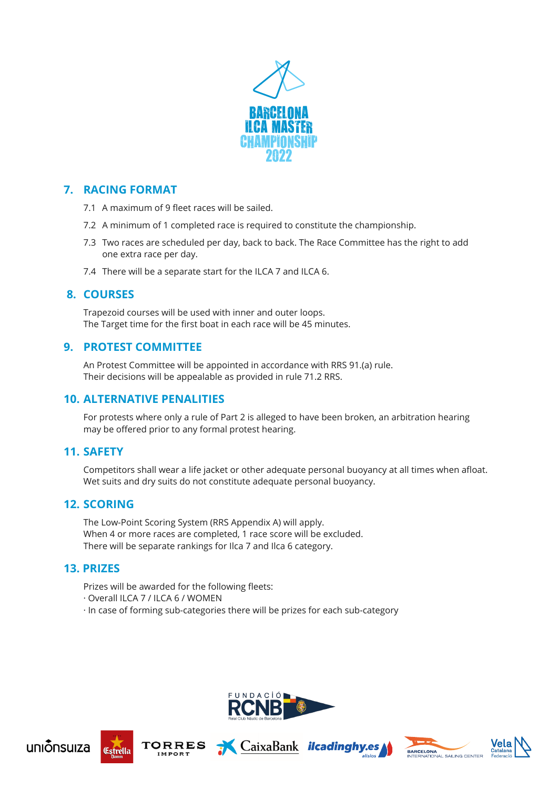

# **7. RACING FORMAT**

- 7.1 A maximum of 9 fleet races will be sailed.
- 7.2 A minimum of 1 completed race is required to constitute the championship.
- 7.3 Two races are scheduled per day, back to back. The Race Committee has the right to add one extra race per day.
- 7.4 There will be a separate start for the ILCA 7 and ILCA 6.

#### **8. COURSES**

Trapezoid courses will be used with inner and outer loops. The Target time for the first boat in each race will be 45 minutes.

#### **9. PROTEST COMMITTEE**

An Protest Committee will be appointed in accordance with RRS 91.(a) rule. Their decisions will be appealable as provided in rule 71.2 RRS.

#### **10. ALTERNATIVE PENALITIES**

For protests where only a rule of Part 2 is alleged to have been broken, an arbitration hearing may be offered prior to any formal protest hearing.

#### **11. SAFETY**

 Competitors shall wear a life jacket or other adequate personal buoyancy at all times when afloat. Wet suits and dry suits do not constitute adequate personal buoyancy.

#### **12. SCORING**

The Low-Point Scoring System (RRS Appendix A) will apply. When 4 or more races are completed, 1 race score will be excluded. There will be separate rankings for Ilca 7 and Ilca 6 category.

#### **13. PRIZES**

 Prizes will be awarded for the following fleets:

- · Overall ILCA 7 / ILCA 6 / WOMEN
- · In case of forming sub-categories there will be prizes for each sub-category